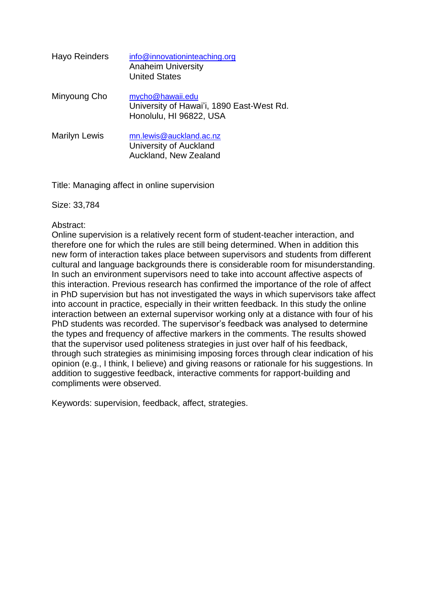| Hayo Reinders        | info@innovationinteaching.org<br><b>Anaheim University</b><br><b>United States</b>       |
|----------------------|------------------------------------------------------------------------------------------|
| Minyoung Cho         | mycho@hawaii.edu<br>University of Hawai'i, 1890 East-West Rd.<br>Honolulu, HI 96822, USA |
| <b>Marilyn Lewis</b> | mn.lewis@auckland.ac.nz<br>University of Auckland<br>Auckland, New Zealand               |

Title: Managing affect in online supervision

Size: 33,784

#### Abstract:

Online supervision is a relatively recent form of student-teacher interaction, and therefore one for which the rules are still being determined. When in addition this new form of interaction takes place between supervisors and students from different cultural and language backgrounds there is considerable room for misunderstanding. In such an environment supervisors need to take into account affective aspects of this interaction. Previous research has confirmed the importance of the role of affect in PhD supervision but has not investigated the ways in which supervisors take affect into account in practice, especially in their written feedback. In this study the online interaction between an external supervisor working only at a distance with four of his PhD students was recorded. The supervisor's feedback was analysed to determine the types and frequency of affective markers in the comments. The results showed that the supervisor used politeness strategies in just over half of his feedback, through such strategies as minimising imposing forces through clear indication of his opinion (e.g., I think, I believe) and giving reasons or rationale for his suggestions. In addition to suggestive feedback, interactive comments for rapport-building and compliments were observed.

Keywords: supervision, feedback, affect, strategies.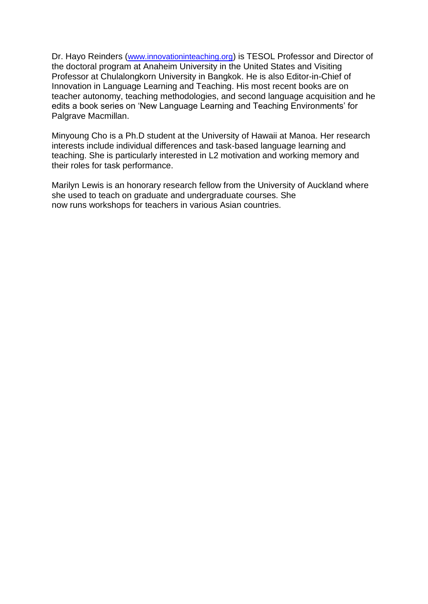Dr. Hayo Reinders ([www.innovationinteaching.org](http://www.innovationinteaching.org/)) is TESOL Professor and Director of the doctoral program at Anaheim University in the United States and Visiting Professor at Chulalongkorn University in Bangkok. He is also Editor-in-Chief of Innovation in Language Learning and Teaching. His most recent books are on teacher autonomy, teaching methodologies, and second language acquisition and he edits a book series on 'New Language Learning and Teaching Environments' for Palgrave Macmillan.

Minyoung Cho is a Ph.D student at the University of Hawaii at Manoa. Her research interests include individual differences and task-based language learning and teaching. She is particularly interested in L2 motivation and working memory and their roles for task performance.

Marilyn Lewis is an honorary research fellow from the University of Auckland where she used to teach on graduate and undergraduate courses. She now runs workshops for teachers in various Asian countries.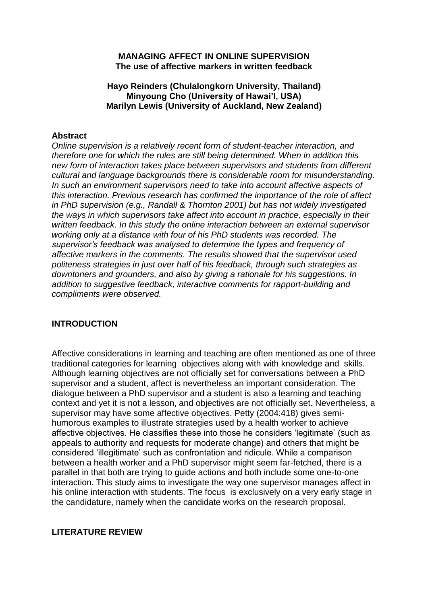#### **MANAGING AFFECT IN ONLINE SUPERVISION The use of affective markers in written feedback**

## **Hayo Reinders (Chulalongkorn University, Thailand) Minyoung Cho (University of Hawai'I, USA) Marilyn Lewis (University of Auckland, New Zealand)**

#### **Abstract**

*Online supervision is a relatively recent form of student-teacher interaction, and therefore one for which the rules are still being determined. When in addition this new form of interaction takes place between supervisors and students from different cultural and language backgrounds there is considerable room for misunderstanding. In such an environment supervisors need to take into account affective aspects of this interaction. Previous research has confirmed the importance of the role of affect in PhD supervision (e.g., Randall & Thornton 2001) but has not widely investigated the ways in which supervisors take affect into account in practice, especially in their written feedback. In this study the online interaction between an external supervisor working only at a distance with four of his PhD students was recorded. The supervisor's feedback was analysed to determine the types and frequency of affective markers in the comments. The results showed that the supervisor used politeness strategies in just over half of his feedback, through such strategies as downtoners and grounders, and also by giving a rationale for his suggestions. In addition to suggestive feedback, interactive comments for rapport-building and compliments were observed.* 

## **INTRODUCTION**

Affective considerations in learning and teaching are often mentioned as one of three traditional categories for learning objectives along with with knowledge and skills. Although learning objectives are not officially set for conversations between a PhD supervisor and a student, affect is nevertheless an important consideration. The dialogue between a PhD supervisor and a student is also a learning and teaching context and yet it is not a lesson, and objectives are not officially set. Nevertheless, a supervisor may have some affective objectives. Petty (2004:418) gives semihumorous examples to illustrate strategies used by a health worker to achieve affective objectives. He classifies these into those he considers 'legitimate' (such as appeals to authority and requests for moderate change) and others that might be considered 'illegitimate' such as confrontation and ridicule. While a comparison between a health worker and a PhD supervisor might seem far-fetched, there is a parallel in that both are trying to guide actions and both include some one-to-one interaction. This study aims to investigate the way one supervisor manages affect in his online interaction with students. The focus is exclusively on a very early stage in the candidature, namely when the candidate works on the research proposal.

## **LITERATURE REVIEW**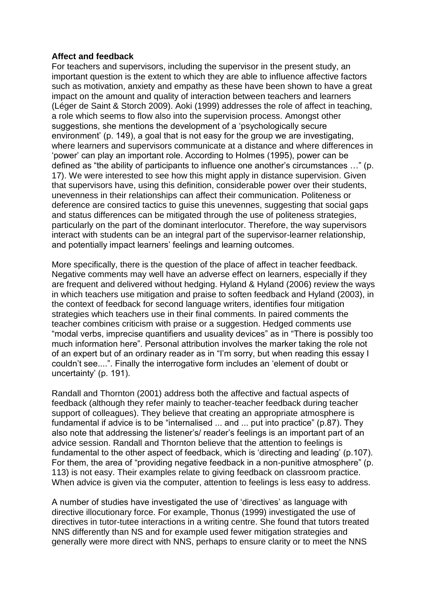#### **Affect and feedback**

For teachers and supervisors, including the supervisor in the present study, an important question is the extent to which they are able to influence affective factors such as motivation, anxiety and empathy as these have been shown to have a great impact on the amount and quality of interaction between teachers and learners (Léger de Saint & Storch 2009). Aoki (1999) addresses the role of affect in teaching, a role which seems to flow also into the supervision process. Amongst other suggestions, she mentions the development of a 'psychologically secure environment' (p. 149), a goal that is not easy for the group we are investigating, where learners and supervisors communicate at a distance and where differences in 'power' can play an important role. According to Holmes (1995), power can be defined as "the ability of participants to influence one another's circumstances …" (p. 17). We were interested to see how this might apply in distance supervision. Given that supervisors have, using this definition, considerable power over their students, unevenness in their relationships can affect their communication. Politeness or deference are consired tactics to guise this unevennes, suggesting that social gaps and status differences can be mitigated through the use of politeness strategies, particularly on the part of the dominant interlocutor. Therefore, the way supervisors interact with students can be an integral part of the supervisor-learner relationship, and potentially impact learners' feelings and learning outcomes.

More specifically, there is the question of the place of affect in teacher feedback. Negative comments may well have an adverse effect on learners, especially if they are frequent and delivered without hedging. Hyland & Hyland (2006) review the ways in which teachers use mitigation and praise to soften feedback and Hyland (2003), in the context of feedback for second language writers, identifies four mitigation strategies which teachers use in their final comments. In paired comments the teacher combines criticism with praise or a suggestion. Hedged comments use "modal verbs, imprecise quantifiers and usuality devices" as in "There is possibly too much information here". Personal attribution involves the marker taking the role not of an expert but of an ordinary reader as in "I'm sorry, but when reading this essay I couldn't see....". Finally the interrogative form includes an 'element of doubt or uncertainty' (p. 191).

Randall and Thornton (2001) address both the affective and factual aspects of feedback (although they refer mainly to teacher-teacher feedback during teacher support of colleagues). They believe that creating an appropriate atmosphere is fundamental if advice is to be "internalised ... and ... put into practice" (p.87). They also note that addressing the listener's/ reader's feelings is an important part of an advice session. Randall and Thornton believe that the attention to feelings is fundamental to the other aspect of feedback, which is 'directing and leading' (p.107). For them, the area of "providing negative feedback in a non-punitive atmosphere" (p. 113) is not easy. Their examples relate to giving feedback on classroom practice. When advice is given via the computer, attention to feelings is less easy to address.

A number of studies have investigated the use of 'directives' as language with directive illocutionary force. For example, Thonus (1999) investigated the use of directives in tutor-tutee interactions in a writing centre. She found that tutors treated NNS differently than NS and for example used fewer mitigation strategies and generally were more direct with NNS, perhaps to ensure clarity or to meet the NNS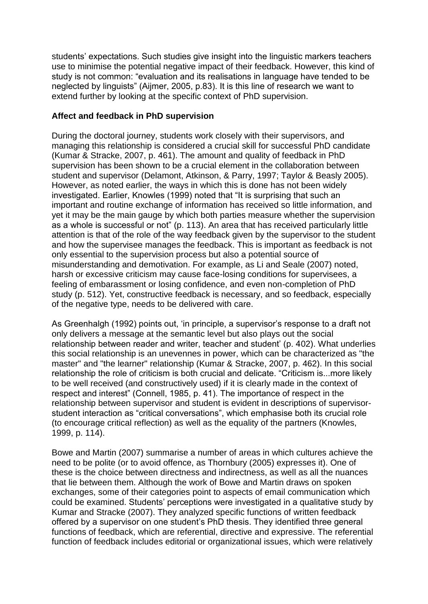students' expectations. Such studies give insight into the linguistic markers teachers use to minimise the potential negative impact of their feedback. However, this kind of study is not common: "evaluation and its realisations in language have tended to be neglected by linguists" (Aijmer, 2005, p.83). It is this line of research we want to extend further by looking at the specific context of PhD supervision.

#### **Affect and feedback in PhD supervision**

During the doctoral journey, students work closely with their supervisors, and managing this relationship is considered a crucial skill for successful PhD candidate (Kumar & Stracke, 2007, p. 461). The amount and quality of feedback in PhD supervision has been shown to be a crucial element in the collaboration between student and supervisor (Delamont, Atkinson, & Parry, 1997; Taylor & Beasly 2005). However, as noted earlier, the ways in which this is done has not been widely investigated. Earlier, Knowles (1999) noted that "It is surprising that such an important and routine exchange of information has received so little information, and yet it may be the main gauge by which both parties measure whether the supervision as a whole is successful or not" (p. 113). An area that has received particularly little attention is that of the role of the way feedback given by the supervisor to the student and how the supervisee manages the feedback. This is important as feedback is not only essential to the supervision process but also a potential source of misunderstanding and demotivation. For example, as Li and Seale (2007) noted, harsh or excessive criticism may cause face-losing conditions for supervisees, a feeling of embarassment or losing confidence, and even non-completion of PhD study (p. 512). Yet, constructive feedback is necessary, and so feedback, especially of the negative type, needs to be delivered with care.

As Greenhalgh (1992) points out, 'in principle, a supervisor's response to a draft not only delivers a message at the semantic level but also plays out the social relationship between reader and writer, teacher and student' (p. 402). What underlies this social relationship is an unevennes in power, which can be characterized as "the master" and "the learner" relationship (Kumar & Stracke, 2007, p. 462). In this social relationship the role of criticism is both crucial and delicate. "Criticism is...more likely to be well received (and constructively used) if it is clearly made in the context of respect and interest" (Connell, 1985, p. 41). The importance of respect in the relationship between supervisor and student is evident in descriptions of supervisorstudent interaction as "critical conversations", which emphasise both its crucial role (to encourage critical reflection) as well as the equality of the partners (Knowles, 1999, p. 114).

Bowe and Martin (2007) summarise a number of areas in which cultures achieve the need to be polite (or to avoid offence, as Thornbury (2005) expresses it). One of these is the choice between directness and indirectness, as well as all the nuances that lie between them. Although the work of Bowe and Martin draws on spoken exchanges, some of their categories point to aspects of email communication which could be examined. Students' perceptions were investigated in a qualitative study by Kumar and Stracke (2007). They analyzed specific functions of written feedback offered by a supervisor on one student's PhD thesis. They identified three general functions of feedback, which are referential, directive and expressive. The referential function of feedback includes editorial or organizational issues, which were relatively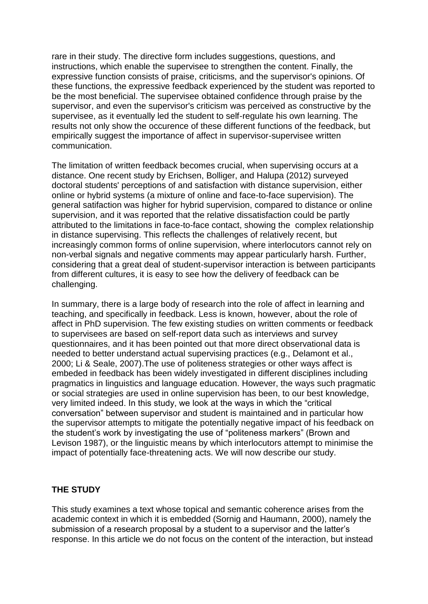rare in their study. The directive form includes suggestions, questions, and instructions, which enable the supervisee to strengthen the content. Finally, the expressive function consists of praise, criticisms, and the supervisor's opinions. Of these functions, the expressive feedback experienced by the student was reported to be the most beneficial. The supervisee obtained confidence through praise by the supervisor, and even the supervisor's criticism was perceived as constructive by the supervisee, as it eventually led the student to self-regulate his own learning. The results not only show the occurence of these different functions of the feedback, but empirically suggest the importance of affect in supervisor-supervisee written communication.

The limitation of written feedback becomes crucial, when supervising occurs at a distance. One recent study by Erichsen, Bolliger, and Halupa (2012) surveyed doctoral students' perceptions of and satisfaction with distance supervision, either online or hybrid systems (a mixture of online and face-to-face supervision). The general satifaction was higher for hybrid supervision, compared to distance or online supervision, and it was reported that the relative dissatisfaction could be partly attributed to the limitations in face-to-face contact, showing the complex relationship in distance supervising. This reflects the challenges of relatively recent, but increasingly common forms of online supervision, where interlocutors cannot rely on non-verbal signals and negative comments may appear particularly harsh. Further, considering that a great deal of student-supervisor interaction is between participants from different cultures, it is easy to see how the delivery of feedback can be challenging.

In summary, there is a large body of research into the role of affect in learning and teaching, and specifically in feedback. Less is known, however, about the role of affect in PhD supervision. The few existing studies on written comments or feedback to supervisees are based on self-report data such as interviews and survey questionnaires, and it has been pointed out that more direct observational data is needed to better understand actual supervising practices (e.g., Delamont et al., 2000; Li & Seale, 2007).The use of politeness strategies or other ways affect is embeded in feedback has been widely investigated in different disciplines including pragmatics in linguistics and language education. However, the ways such pragmatic or social strategies are used in online supervision has been, to our best knowledge, very limited indeed. In this study, we look at the ways in which the "critical conversation" between supervisor and student is maintained and in particular how the supervisor attempts to mitigate the potentially negative impact of his feedback on the student's work by investigating the use of "politeness markers" (Brown and Levison 1987), or the linguistic means by which interlocutors attempt to minimise the impact of potentially face-threatening acts. We will now describe our study.

#### **THE STUDY**

This study examines a text whose topical and semantic coherence arises from the academic context in which it is embedded (Sornig and Haumann, 2000), namely the submission of a research proposal by a student to a supervisor and the latter's response. In this article we do not focus on the content of the interaction, but instead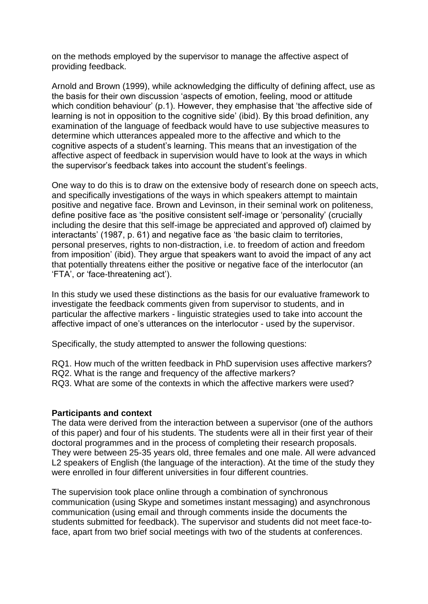on the methods employed by the supervisor to manage the affective aspect of providing feedback.

Arnold and Brown (1999), while acknowledging the difficulty of defining affect, use as the basis for their own discussion 'aspects of emotion, feeling, mood or attitude which condition behaviour' (p.1). However, they emphasise that 'the affective side of learning is not in opposition to the cognitive side' (ibid). By this broad definition, any examination of the language of feedback would have to use subjective measures to determine which utterances appealed more to the affective and which to the cognitive aspects of a student's learning. This means that an investigation of the affective aspect of feedback in supervision would have to look at the ways in which the supervisor's feedback takes into account the student's feelings.

One way to do this is to draw on the extensive body of research done on speech acts, and specifically investigations of the ways in which speakers attempt to maintain positive and negative face. Brown and Levinson, in their seminal work on politeness, define positive face as 'the positive consistent self-image or 'personality' (crucially including the desire that this self-image be appreciated and approved of) claimed by interactants' (1987, p. 61) and negative face as 'the basic claim to territories, personal preserves, rights to non-distraction, i.e. to freedom of action and freedom from imposition' (ibid). They argue that speakers want to avoid the impact of any act that potentially threatens either the positive or negative face of the interlocutor (an 'FTA', or 'face-threatening act').

In this study we used these distinctions as the basis for our evaluative framework to investigate the feedback comments given from supervisor to students, and in particular the affective markers - linguistic strategies used to take into account the affective impact of one's utterances on the interlocutor - used by the supervisor.

Specifically, the study attempted to answer the following questions:

- RQ1. How much of the written feedback in PhD supervision uses affective markers?
- RQ2. What is the range and frequency of the affective markers?
- RQ3. What are some of the contexts in which the affective markers were used?

#### **Participants and context**

The data were derived from the interaction between a supervisor (one of the authors of this paper) and four of his students. The students were all in their first year of their doctoral programmes and in the process of completing their research proposals. They were between 25-35 years old, three females and one male. All were advanced L2 speakers of English (the language of the interaction). At the time of the study they were enrolled in four different universities in four different countries.

The supervision took place online through a combination of synchronous communication (using Skype and sometimes instant messaging) and asynchronous communication (using email and through comments inside the documents the students submitted for feedback). The supervisor and students did not meet face-toface, apart from two brief social meetings with two of the students at conferences.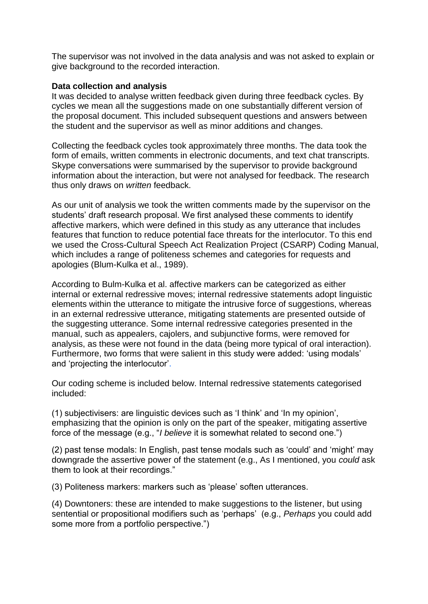The supervisor was not involved in the data analysis and was not asked to explain or give background to the recorded interaction.

#### **Data collection and analysis**

It was decided to analyse written feedback given during three feedback cycles. By cycles we mean all the suggestions made on one substantially different version of the proposal document. This included subsequent questions and answers between the student and the supervisor as well as minor additions and changes.

Collecting the feedback cycles took approximately three months. The data took the form of emails, written comments in electronic documents, and text chat transcripts. Skype conversations were summarised by the supervisor to provide background information about the interaction, but were not analysed for feedback. The research thus only draws on *written* feedback.

As our unit of analysis we took the written comments made by the supervisor on the students' draft research proposal. We first analysed these comments to identify affective markers, which were defined in this study as any utterance that includes features that function to reduce potential face threats for the interlocutor. To this end we used the Cross-Cultural Speech Act Realization Project (CSARP) Coding Manual, which includes a range of politeness schemes and categories for requests and apologies (Blum-Kulka et al., 1989).

According to Bulm-Kulka et al. affective markers can be categorized as either internal or external redressive moves; internal redressive statements adopt linguistic elements within the utterance to mitigate the intrusive force of suggestions, whereas in an external redressive utterance, mitigating statements are presented outside of the suggesting utterance. Some internal redressive categories presented in the manual, such as appealers, cajolers, and subjunctive forms, were removed for analysis, as these were not found in the data (being more typical of oral interaction). Furthermore, two forms that were salient in this study were added: 'using modals' and 'projecting the interlocutor'.

Our coding scheme is included below. Internal redressive statements categorised included:

(1) subjectivisers: are linguistic devices such as 'I think' and 'In my opinion', emphasizing that the opinion is only on the part of the speaker, mitigating assertive force of the message (e.g., "*I believe* it is somewhat related to second one.")

(2) past tense modals: In English, past tense modals such as 'could' and 'might' may downgrade the assertive power of the statement (e.g., As I mentioned, you *could* ask them to look at their recordings."

(3) Politeness markers: markers such as 'please' soften utterances.

(4) Downtoners: these are intended to make suggestions to the listener, but using sentential or propositional modifiers such as 'perhaps' (e.g., *Perhaps* you could add some more from a portfolio perspective.")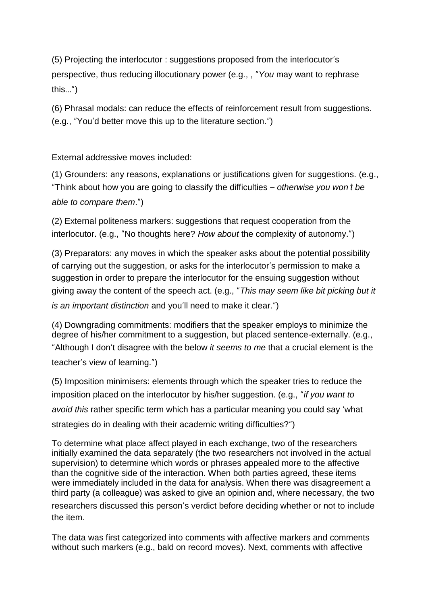(5) Projecting the interlocutor : suggestions proposed from the interlocutor's perspective, thus reducing illocutionary power (e.g., , "*You* may want to rephrase this…")

(6) Phrasal modals: can reduce the effects of reinforcement result from suggestions. (e.g., "You'd better move this up to the literature section.")

External addressive moves included:

(1) Grounders: any reasons, explanations or justifications given for suggestions. (e.g., "Think about how you are going to classify the difficulties – *otherwise you won*'*t be able to compare them*.")

(2) External politeness markers: suggestions that request cooperation from the interlocutor. (e.g., "No thoughts here? *How about* the complexity of autonomy.")

(3) Preparators: any moves in which the speaker asks about the potential possibility of carrying out the suggestion, or asks for the interlocutor's permission to make a suggestion in order to prepare the interlocutor for the ensuing suggestion without giving away the content of the speech act. (e.g., "*This may seem like bit picking but it is an important distinction* and you'll need to make it clear.")

(4) Downgrading commitments: modifiers that the speaker employs to minimize the degree of his/her commitment to a suggestion, but placed sentence-externally. (e.g., "Although I don't disagree with the below *it seems to me* that a crucial element is the teacher's view of learning.")

(5) Imposition minimisers: elements through which the speaker tries to reduce the imposition placed on the interlocutor by his/her suggestion. (e.g., "*if you want to avoid this* rather specific term which has a particular meaning you could say 'what strategies do in dealing with their academic writing difficulties?")

To determine what place affect played in each exchange, two of the researchers initially examined the data separately (the two researchers not involved in the actual supervision) to determine which words or phrases appealed more to the affective than the cognitive side of the interaction. When both parties agreed, these items were immediately included in the data for analysis. When there was disagreement a third party (a colleague) was asked to give an opinion and, where necessary, the two researchers discussed this person's verdict before deciding whether or not to include the item.

The data was first categorized into comments with affective markers and comments without such markers (e.g., bald on record moves). Next, comments with affective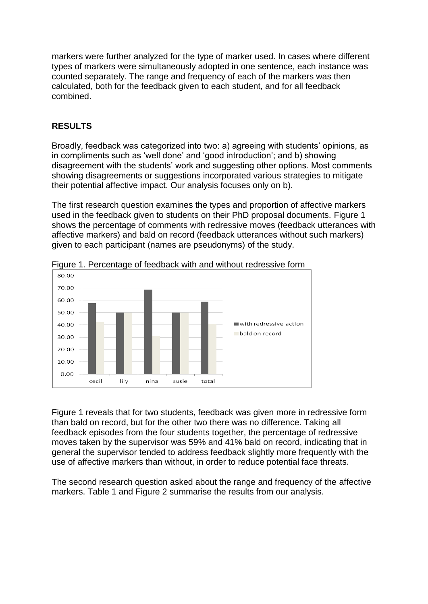markers were further analyzed for the type of marker used. In cases where different types of markers were simultaneously adopted in one sentence, each instance was counted separately. The range and frequency of each of the markers was then calculated, both for the feedback given to each student, and for all feedback combined.

# **RESULTS**

Broadly, feedback was categorized into two: a) agreeing with students' opinions, as in compliments such as 'well done' and 'good introduction'; and b) showing disagreement with the students' work and suggesting other options. Most comments showing disagreements or suggestions incorporated various strategies to mitigate their potential affective impact. Our analysis focuses only on b).

The first research question examines the types and proportion of affective markers used in the feedback given to students on their PhD proposal documents. Figure 1 shows the percentage of comments with redressive moves (feedback utterances with affective markers) and bald on record (feedback utterances without such markers) given to each participant (names are pseudonyms) of the study.



Figure 1. Percentage of feedback with and without redressive form

Figure 1 reveals that for two students, feedback was given more in redressive form than bald on record, but for the other two there was no difference. Taking all feedback episodes from the four students together, the percentage of redressive moves taken by the supervisor was 59% and 41% bald on record, indicating that in general the supervisor tended to address feedback slightly more frequently with the use of affective markers than without, in order to reduce potential face threats.

The second research question asked about the range and frequency of the affective markers. Table 1 and Figure 2 summarise the results from our analysis.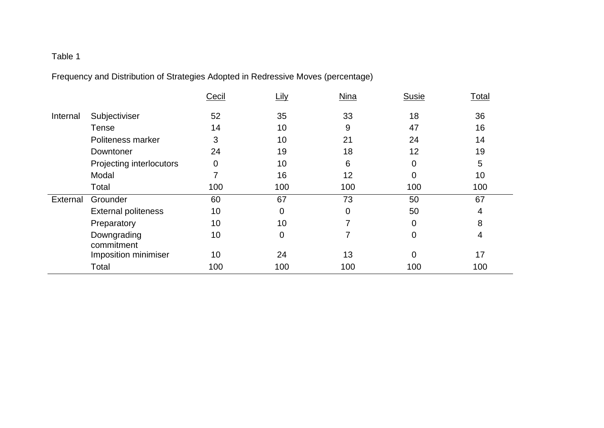# Table 1

Frequency and Distribution of Strategies Adopted in Redressive Moves (percentage)

|          |                            | Cecil | Lily | <b>Nina</b> | <b>Susie</b>   | Total           |
|----------|----------------------------|-------|------|-------------|----------------|-----------------|
| Internal | Subjectiviser              | 52    | 35   | 33          | 18             | 36              |
|          | <b>Tense</b>               | 14    | 10   | 9           | 47             | 16              |
|          | Politeness marker          | 3     | 10   | 21          | 24             | 14              |
|          | Downtoner                  | 24    | 19   | 18          | 12             | 19              |
|          | Projecting interlocutors   | 0     | 10   | 6           | $\mathbf 0$    | 5               |
|          | Modal                      |       | 16   | 12          | $\overline{0}$ | 10 <sup>°</sup> |
|          | Total                      | 100   | 100  | 100         | 100            | 100             |
| External | Grounder                   | 60    | 67   | 73          | 50             | 67              |
|          | <b>External politeness</b> | 10    | 0    | 0           | 50             | 4               |
|          | Preparatory                | 10    | 10   | 7           | $\overline{0}$ | 8               |
|          | Downgrading<br>commitment  | 10    | 0    | 7           | 0              | 4               |
|          | Imposition minimiser       | 10    | 24   | 13          | $\overline{0}$ | 17              |
|          | Total                      | 100   | 100  | 100         | 100            | 100             |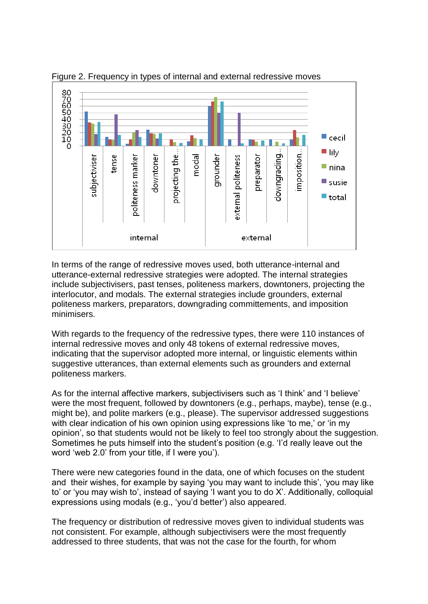

Figure 2. Frequency in types of internal and external redressive moves

In terms of the range of redressive moves used, both utterance-internal and utterance-external redressive strategies were adopted. The internal strategies include subjectivisers, past tenses, politeness markers, downtoners, projecting the interlocutor, and modals. The external strategies include grounders, external politeness markers, preparators, downgrading committements, and imposition minimisers.

With regards to the frequency of the redressive types, there were 110 instances of internal redressive moves and only 48 tokens of external redressive moves, indicating that the supervisor adopted more internal, or linguistic elements within suggestive utterances, than external elements such as grounders and external politeness markers.

As for the internal affective markers, subjectivisers such as 'I think' and 'I believe' were the most frequent, followed by downtoners (e.g., perhaps, maybe), tense (e.g., might be), and polite markers (e.g., please). The supervisor addressed suggestions with clear indication of his own opinion using expressions like 'to me,' or 'in my opinion', so that students would not be likely to feel too strongly about the suggestion. Sometimes he puts himself into the student's position (e.g. 'I'd really leave out the word 'web 2.0' from your title, if I were you').

There were new categories found in the data, one of which focuses on the student and their wishes, for example by saying 'you may want to include this', 'you may like to' or 'you may wish to', instead of saying 'I want you to do X'. Additionally, colloquial expressions using modals (e.g., 'you'd better') also appeared.

The frequency or distribution of redressive moves given to individual students was not consistent. For example, although subjectivisers were the most frequently addressed to three students, that was not the case for the fourth, for whom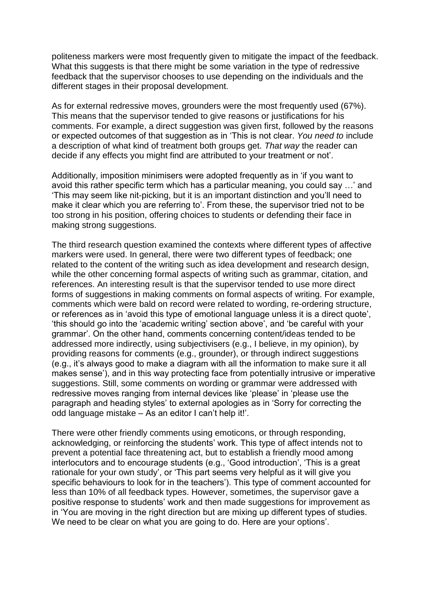politeness markers were most frequently given to mitigate the impact of the feedback. What this suggests is that there might be some variation in the type of redressive feedback that the supervisor chooses to use depending on the individuals and the different stages in their proposal development.

As for external redressive moves, grounders were the most frequently used (67%). This means that the supervisor tended to give reasons or justifications for his comments. For example, a direct suggestion was given first, followed by the reasons or expected outcomes of that suggestion as in 'This is not clear. *You need to* include a description of what kind of treatment both groups get. *That way* the reader can decide if any effects you might find are attributed to your treatment or not'.

Additionally, imposition minimisers were adopted frequently as in 'if you want to avoid this rather specific term which has a particular meaning, you could say …' and 'This may seem like nit-picking, but it is an important distinction and you'll need to make it clear which you are referring to'. From these, the supervisor tried not to be too strong in his position, offering choices to students or defending their face in making strong suggestions.

The third research question examined the contexts where different types of affective markers were used. In general, there were two different types of feedback; one related to the content of the writing such as idea development and research design, while the other concerning formal aspects of writing such as grammar, citation, and references. An interesting result is that the supervisor tended to use more direct forms of suggestions in making comments on formal aspects of writing. For example, comments which were bald on record were related to wording, re-ordering structure, or references as in 'avoid this type of emotional language unless it is a direct quote', 'this should go into the 'academic writing' section above', and 'be careful with your grammar'. On the other hand, comments concerning content/ideas tended to be addressed more indirectly, using subjectivisers (e.g., I believe, in my opinion), by providing reasons for comments (e.g., grounder), or through indirect suggestions (e.g., it's always good to make a diagram with all the information to make sure it all makes sense'), and in this way protecting face from potentially intrusive or imperative suggestions. Still, some comments on wording or grammar were addressed with redressive moves ranging from internal devices like 'please' in 'please use the paragraph and heading styles' to external apologies as in 'Sorry for correcting the odd language mistake – As an editor I can't help it!'.

There were other friendly comments using emoticons, or through responding, acknowledging, or reinforcing the students' work. This type of affect intends not to prevent a potential face threatening act, but to establish a friendly mood among interlocutors and to encourage students (e.g., 'Good introduction', 'This is a great rationale for your own study', or 'This part seems very helpful as it will give you specific behaviours to look for in the teachers'). This type of comment accounted for less than 10% of all feedback types. However, sometimes, the supervisor gave a positive response to students' work and then made suggestions for improvement as in 'You are moving in the right direction but are mixing up different types of studies. We need to be clear on what you are going to do. Here are your options'.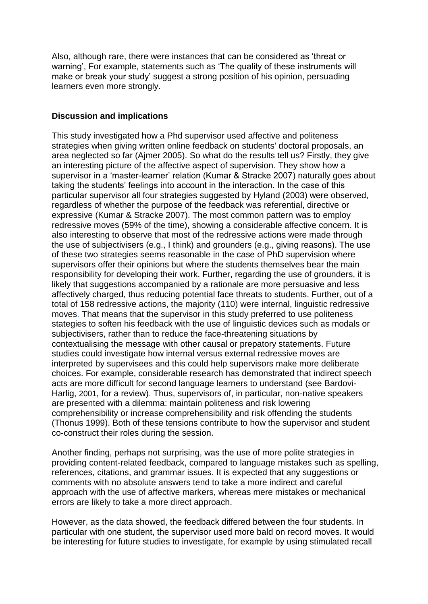Also, although rare, there were instances that can be considered as 'threat or warning', For example, statements such as 'The quality of these instruments will make or break your study' suggest a strong position of his opinion, persuading learners even more strongly.

#### **Discussion and implications**

This study investigated how a Phd supervisor used affective and politeness strategies when giving written online feedback on students' doctoral proposals, an area neglected so far (Ajmer 2005). So what do the results tell us? Firstly, they give an interesting picture of the affective aspect of supervision. They show how a supervisor in a 'master-learner' relation (Kumar & Stracke 2007) naturally goes about taking the students' feelings into account in the interaction. In the case of this particular supervisor all four strategies suggested by Hyland (2003) were observed, regardless of whether the purpose of the feedback was referential, directive or expressive (Kumar & Stracke 2007). The most common pattern was to employ redressive moves (59% of the time), showing a considerable affective concern. It is also interesting to observe that most of the redressive actions were made through the use of subjectivisers (e.g., I think) and grounders (e.g., giving reasons). The use of these two strategies seems reasonable in the case of PhD supervision where supervisors offer their opinions but where the students themselves bear the main responsibility for developing their work. Further, regarding the use of grounders, it is likely that suggestions accompanied by a rationale are more persuasive and less affectively charged, thus reducing potential face threats to students. Further, out of a total of 158 redressive actions, the majority (110) were internal, linguistic redressive moves. That means that the supervisor in this study preferred to use politeness stategies to soften his feedback with the use of linguistic devices such as modals or subjectivisers, rather than to reduce the face-threatening situations by contextualising the message with other causal or prepatory statements. Future studies could investigate how internal versus external redressive moves are interpreted by supervisees and this could help supervisors make more deliberate choices. For example, considerable research has demonstrated that indirect speech acts are more difficult for second language learners to understand (see Bardovi-Harlig, 2001, for a review). Thus, supervisors of, in particular, non-native speakers are presented with a dilemma: maintain politeness and risk lowering comprehensibility or increase comprehensibility and risk offending the students (Thonus 1999). Both of these tensions contribute to how the supervisor and student co-construct their roles during the session.

Another finding, perhaps not surprising, was the use of more polite strategies in providing content-related feedback, compared to language mistakes such as spelling, references, citations, and grammar issues. It is expected that any suggestions or comments with no absolute answers tend to take a more indirect and careful approach with the use of affective markers, whereas mere mistakes or mechanical errors are likely to take a more direct approach.

However, as the data showed, the feedback differed between the four students. In particular with one student, the supervisor used more bald on record moves. It would be interesting for future studies to investigate, for example by using stimulated recall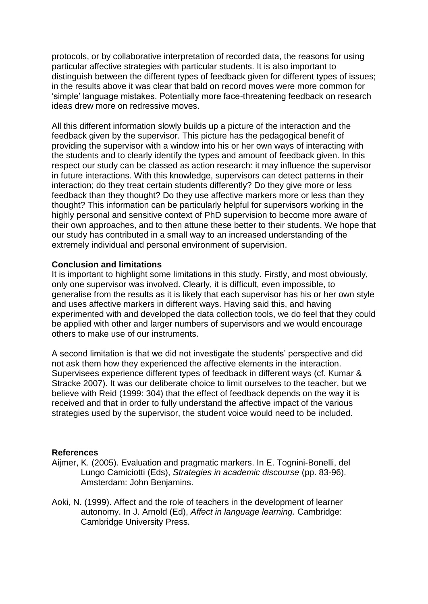protocols, or by collaborative interpretation of recorded data, the reasons for using particular affective strategies with particular students. It is also important to distinguish between the different types of feedback given for different types of issues; in the results above it was clear that bald on record moves were more common for 'simple' language mistakes. Potentially more face-threatening feedback on research ideas drew more on redressive moves.

All this different information slowly builds up a picture of the interaction and the feedback given by the supervisor. This picture has the pedagogical benefit of providing the supervisor with a window into his or her own ways of interacting with the students and to clearly identify the types and amount of feedback given. In this respect our study can be classed as action research: it may influence the supervisor in future interactions. With this knowledge, supervisors can detect patterns in their interaction; do they treat certain students differently? Do they give more or less feedback than they thought? Do they use affective markers more or less than they thought? This information can be particularly helpful for supervisors working in the highly personal and sensitive context of PhD supervision to become more aware of their own approaches, and to then attune these better to their students. We hope that our study has contributed in a small way to an increased understanding of the extremely individual and personal environment of supervision.

#### **Conclusion and limitations**

It is important to highlight some limitations in this study. Firstly, and most obviously, only one supervisor was involved. Clearly, it is difficult, even impossible, to generalise from the results as it is likely that each supervisor has his or her own style and uses affective markers in different ways. Having said this, and having experimented with and developed the data collection tools, we do feel that they could be applied with other and larger numbers of supervisors and we would encourage others to make use of our instruments.

A second limitation is that we did not investigate the students' perspective and did not ask them how they experienced the affective elements in the interaction. Supervisees experience different types of feedback in different ways (cf. Kumar & Stracke 2007). It was our deliberate choice to limit ourselves to the teacher, but we believe with Reid (1999: 304) that the effect of feedback depends on the way it is received and that in order to fully understand the affective impact of the various strategies used by the supervisor, the student voice would need to be included.

#### **References**

- Aijmer, K. (2005). Evaluation and pragmatic markers. In E. Tognini-Bonelli, del Lungo Camiciotti (Eds), *Strategies in academic discourse* (pp. 83-96). Amsterdam: John Benjamins.
- Aoki, N. (1999). Affect and the role of teachers in the development of learner autonomy. In J. Arnold (Ed), *Affect in language learning.* Cambridge: Cambridge University Press.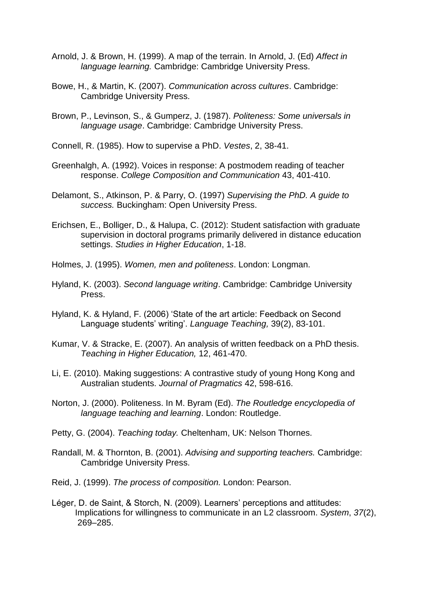- Arnold, J. & Brown, H. (1999). A map of the terrain. In Arnold, J. (Ed) *Affect in language learning.* Cambridge: Cambridge University Press.
- Bowe, H., & Martin, K. (2007). *Communication across cultures*. Cambridge: Cambridge University Press.
- Brown, P., Levinson, S., & Gumperz, J. (1987). *Politeness: Some universals in language usage*. Cambridge: Cambridge University Press.
- Connell, R. (1985). How to supervise a PhD. *Vestes*, 2, 38-41.
- Greenhalgh, A. (1992). Voices in response: A postmodem reading of teacher response. *College Composition and Communication* 43, 401-410.
- Delamont, S., Atkinson, P. & Parry, O. (1997) *Supervising the PhD. A guide to success.* Buckingham: Open University Press.
- Erichsen, E., Bolliger, D., & Halupa, C. (2012): Student satisfaction with graduate supervision in doctoral programs primarily delivered in distance education settings. *Studies in Higher Education*, 1-18.
- Holmes, J. (1995). *Women, men and politeness*. London: Longman.
- Hyland, K. (2003). *Second language writing*. Cambridge: Cambridge University Press.
- Hyland, K. & Hyland, F. (2006) 'State of the art article: Feedback on Second Language students' writing'. *Language Teaching,* 39(2), 83-101.
- Kumar, V. & Stracke, E. (2007). An analysis of written feedback on a PhD thesis. *Teaching in Higher Education,* 12, 461-470.
- Li, E. (2010). Making suggestions: A contrastive study of young Hong Kong and Australian students. *Journal of Pragmatics* 42, 598-616.
- Norton, J. (2000). Politeness. In M. Byram (Ed). *The Routledge encyclopedia of language teaching and learning*. London: Routledge.
- Petty, G. (2004). *Teaching today.* Cheltenham, UK: Nelson Thornes.
- Randall, M. & Thornton, B. (2001). *Advising and supporting teachers.* Cambridge: Cambridge University Press.
- Reid, J. (1999). *The process of composition.* London: Pearson.
- Léger, D. de Saint, & Storch, N. (2009). Learners' perceptions and attitudes: Implications for willingness to communicate in an L2 classroom. *System*, *37*(2), 269–285.